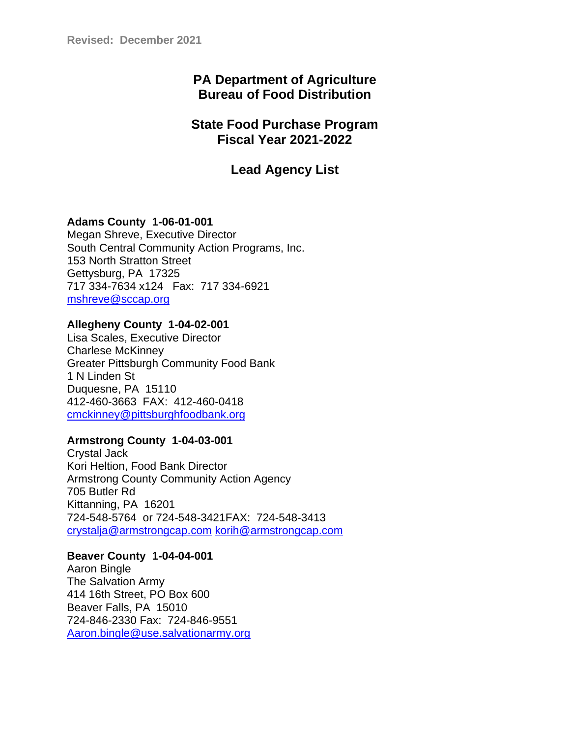# **PA Department of Agriculture Bureau of Food Distribution**

# **State Food Purchase Program Fiscal Year 2021-2022**

# **Lead Agency List**

# **Adams County 1-06-01-001**

Megan Shreve, Executive Director South Central Community Action Programs, Inc. 153 North Stratton Street Gettysburg, PA 17325 717 334-7634 x124 Fax: 717 334-6921 [mshreve@sccap.org](mailto:mshreve@sccap.org)

# **Allegheny County 1-04-02-001**

Lisa Scales, Executive Director Charlese McKinney Greater Pittsburgh Community Food Bank 1 N Linden St Duquesne, PA 15110 412-460-3663 FAX: 412-460-0418 [cmckinney@pittsburghfoodbank.org](mailto:cmckinney@pittsburghfoodbank.org)

# **Armstrong County 1-04-03-001**

Crystal Jack Kori Heltion, Food Bank Director Armstrong County Community Action Agency 705 Butler Rd Kittanning, PA 16201 724-548-5764 or 724-548-3421FAX: 724-548-3413 [crystalja@armstrongcap.com](mailto:crystalja@armstrongcap.com) [korih@armstrongcap.com](mailto:korih@armstrongcap.com)

# **Beaver County 1-04-04-001**

Aaron Bingle The Salvation Army 414 16th Street, PO Box 600 Beaver Falls, PA 15010 724-846-2330 Fax: 724-846-9551 [Aaron.bingle@use.salvationarmy.org](mailto:Aaron.bingle@use.salvationarmy.org)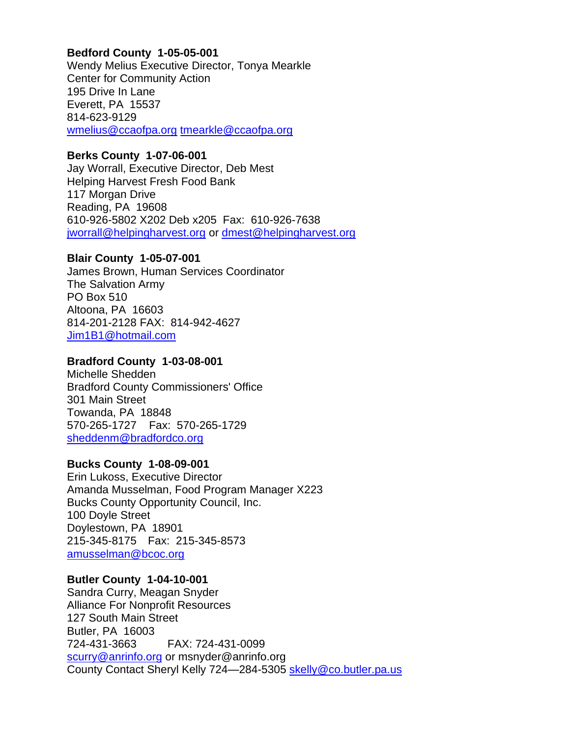# **Bedford County 1-05-05-001**

Wendy Melius Executive Director, Tonya Mearkle Center for Community Action 195 Drive In Lane Everett, PA 15537 814-623-9129 [wmelius@ccaofpa.org](mailto:wmelius@ccaofpa.org) [tmearkle@ccaofpa.org](mailto:tmearkle@ccaofpa.org)

#### **Berks County 1-07-06-001** Jay Worrall, Executive Director, Deb Mest Helping Harvest Fresh Food Bank 117 Morgan Drive Reading, PA 19608 610-926-5802 X202 Deb x205 Fax: 610-926-7638 [jworrall@helpingharvest.org](mailto:jworrall@helpingharvest.org) or [dmest@helpingharvest.org](mailto:dmest@helpingharvest.org)

# **Blair County 1-05-07-001**

James Brown, Human Services Coordinator The Salvation Army PO Box 510 Altoona, PA 16603 814-201-2128 FAX: 814-942-4627 [Jim1B1@hotmail.com](mailto:Jim1B1@hotmail.com)

#### **Bradford County 1-03-08-001**

Michelle Shedden Bradford County Commissioners' Office 301 Main Street Towanda, PA 18848 570-265-1727 Fax: 570-265-1729 [sheddenm@bradfordco.org](mailto:sheddenm@bradfordco.org)

#### **Bucks County 1-08-09-001**

Erin Lukoss, Executive Director Amanda Musselman, Food Program Manager X223 Bucks County Opportunity Council, Inc. 100 Doyle Street Doylestown, PA 18901 215-345-8175 Fax: 215-345-8573 [amusselman@bcoc.org](mailto:amusselman@bcoc.org)

# **Butler County 1-04-10-001**

Sandra Curry, Meagan Snyder Alliance For Nonprofit Resources 127 South Main Street Butler, PA 16003 724-431-3663 FAX: 724-431-0099 [scurry@anrinfo.org](mailto:scurry@anrinfo.org) or msnyder@anrinfo.org County Contact Sheryl Kelly 724-284-5305 [skelly@co.butler.pa.us](mailto:skelly@co.butler.pa.us)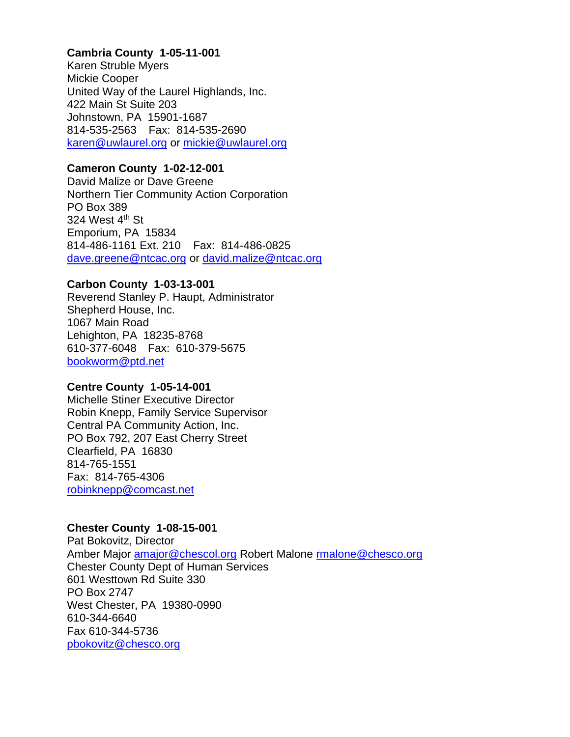# **Cambria County 1-05-11-001**

Karen Struble Myers Mickie Cooper United Way of the Laurel Highlands, Inc. 422 Main St Suite 203 Johnstown, PA 15901-1687 814-535-2563 Fax: 814-535-2690 [karen@uwlaurel.org](mailto:karen@uwlaurel.org) or [mickie@uwlaurel.org](mailto:mickie@uwlaurel.org)

#### **Cameron County 1-02-12-001**

David Malize or Dave Greene Northern Tier Community Action Corporation PO Box 389 324 West 4<sup>th</sup> St Emporium, PA 15834 814-486-1161 Ext. 210 Fax: 814-486-0825 [dave.greene@ntcac.org](mailto:dave.greene@ntcac.org) or [david.malize@ntcac.org](mailto:david.malize@ntcac.org)

#### **Carbon County 1-03-13-001**

Reverend Stanley P. Haupt, Administrator Shepherd House, Inc. 1067 Main Road Lehighton, PA 18235-8768 610-377-6048 Fax: 610-379-5675 [bookworm@ptd.net](mailto:bookworm@ptd.net)

#### **Centre County 1-05-14-001**

Michelle Stiner Executive Director Robin Knepp, Family Service Supervisor Central PA Community Action, Inc. PO Box 792, 207 East Cherry Street Clearfield, PA 16830 814-765-1551 Fax: 814-765-4306 [robinknepp@comcast.net](mailto:adultservices@centrecountypa.gov)

#### **Chester County 1-08-15-001**

Pat Bokovitz, Director Amber Major [amajor@chescol.org](mailto:amajor@chescol.org) Robert Malone [rmalone@chesco.org](mailto:rmalone@chesco.org) Chester County Dept of Human Services 601 Westtown Rd Suite 330 PO Box 2747 West Chester, PA 19380-0990 610-344-6640 Fax 610-344-5736 [pbokovitz@chesco.org](mailto:pbokovitz@chesco.org)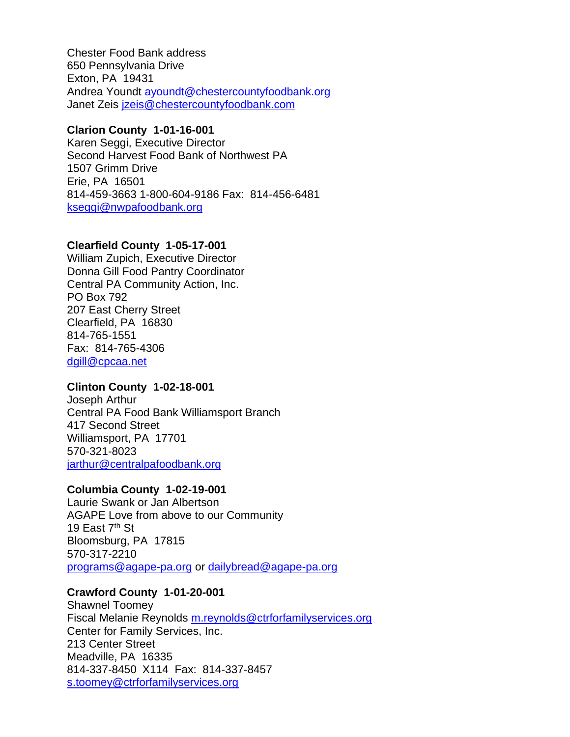Chester Food Bank address 650 Pennsylvania Drive Exton, PA 19431 Andrea Youndt [ayoundt@chestercountyfoodbank.org](mailto:ayoundt@chestercountyfoodbank.org) Janet Zeis *izeis@chestercountyfoodbank.com* 

#### **Clarion County 1-01-16-001**

Karen Seggi, Executive Director Second Harvest Food Bank of Northwest PA 1507 Grimm Drive Erie, PA 16501 814-459-3663 1-800-604-9186 Fax: 814-456-6481 [kseggi@nwpafoodbank.org](mailto:kseggi@nwpafoodbank.org)

#### **Clearfield County 1-05-17-001**

William Zupich, Executive Director Donna Gill Food Pantry Coordinator Central PA Community Action, Inc. PO Box 792 207 East Cherry Street Clearfield, PA 16830 814-765-1551 Fax: 814-765-4306 [dgill@cpcaa.net](mailto:dgill@cpcaa.net)

#### **Clinton County 1-02-18-001**

Joseph Arthur Central PA Food Bank Williamsport Branch 417 Second Street Williamsport, PA 17701 570-321-8023 [jarthur@centralpafoodbank.org](mailto:stoutgmaol@aol.com)

#### **Columbia County 1-02-19-001**

Laurie Swank or Jan Albertson AGAPE Love from above to our Community 19 East  $7<sup>th</sup>$  St Bloomsburg, PA 17815 570-317-2210 [programs@agape-pa.org](mailto:programs@agape-pa.org) or [dailybread@agape-pa.org](mailto:dailybread@agape-pa.org)

#### **Crawford County 1-01-20-001**

Shawnel Toomey Fiscal Melanie Reynolds [m.reynolds@ctrforfamilyservices.org](mailto:m.reynolds@ctrforfamilyservices.org) Center for Family Services, Inc. 213 Center Street Meadville, PA 16335 814-337-8450 X114 Fax: 814-337-8457 [s.toomey@ctrforfamilyservices.org](mailto:s.toomey@ctrforfamilyservices.org)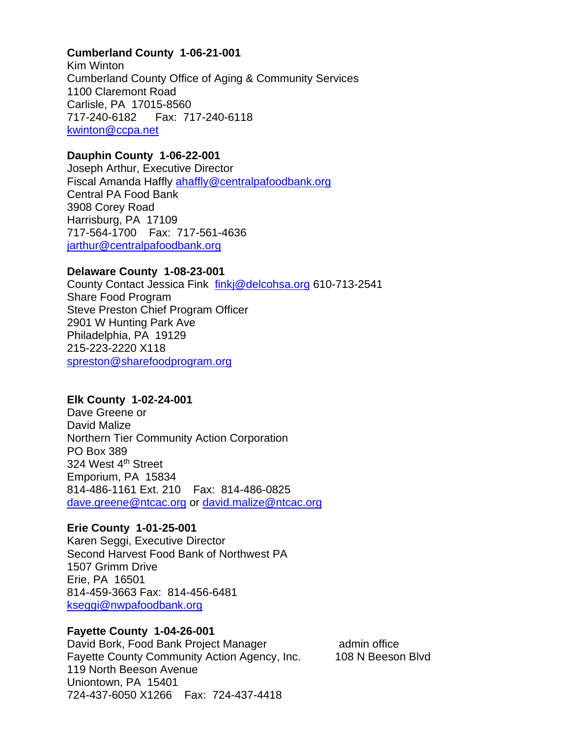# **Cumberland County 1-06-21-001**

Kim Winton Cumberland County Office of Aging & Community Services 1100 Claremont Road Carlisle, PA 17015-8560 717-240-6182 Fax: 717-240-6118 [kwinton@ccpa.net](mailto:kwinton@ccpa.net)

# **Dauphin County 1-06-22-001**

Joseph Arthur, Executive Director Fiscal Amanda Haffly [ahaffly@centralpafoodbank.org](mailto:ahaffly@centralpafoodbank.org)  Central PA Food Bank 3908 Corey Road Harrisburg, PA 17109 717-564-1700 Fax: 717-561-4636 [jarthur@centralpafoodbank.org](mailto:jarthur@centralpafoodbank.org)

#### **Delaware County 1-08-23-001**

County Contact Jessica Fink [finkj@delcohsa.org](mailto:finkj@delcohsa.org) 610-713-2541 Share Food Program Steve Preston Chief Program Officer 2901 W Hunting Park Ave Philadelphia, PA 19129 215-223-2220 X118 [spreston@sharefoodprogram.org](mailto:spreston@sharefoodprogram.org)

#### **Elk County 1-02-24-001**

Dave Greene or David Malize Northern Tier Community Action Corporation PO Box 389 324 West 4<sup>th</sup> Street Emporium, PA 15834 814-486-1161 Ext. 210 Fax: 814-486-0825 [dave.greene@ntcac.org](mailto:dave.greene@ntcac.org) or [david.malize@ntcac.org](mailto:david.malize@ntcac.org)

#### **Erie County 1-01-25-001**

Karen Seggi, Executive Director Second Harvest Food Bank of Northwest PA 1507 Grimm Drive Erie, PA 16501 814-459-3663 Fax: 814-456-6481 [kseggi@nwpafoodbank.org](mailto:kseggi@nwpafoodbank.org)

# **Fayette County 1-04-26-001**

David Bork, Food Bank Project Manager admin office Fayette County Community Action Agency, Inc. 108 N Beeson Blvd 119 North Beeson Avenue Uniontown, PA 15401 724-437-6050 X1266 Fax: 724-437-4418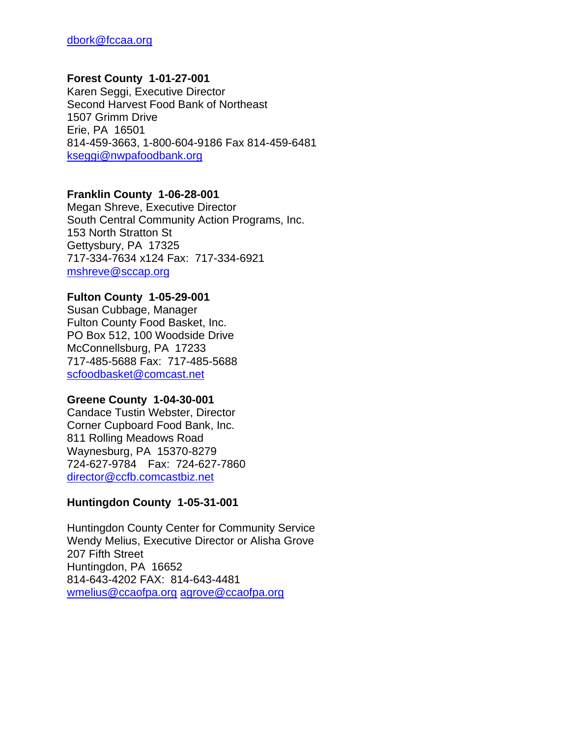# **Forest County 1-01-27-001**

Karen Seggi, Executive Director Second Harvest Food Bank of Northeast 1507 Grimm Drive Erie, PA 16501 814-459-3663, 1-800-604-9186 Fax 814-459-6481 [kseggi@nwpafoodbank.org](mailto:kseggi@nwpafoodbank.org)

#### **Franklin County 1-06-28-001**

Megan Shreve, Executive Director South Central Community Action Programs, Inc. 153 North Stratton St Gettysbury, PA 17325 717-334-7634 x124 Fax: 717-334-6921 [mshreve@sccap.org](mailto:sccapine@innernet.net)

#### **Fulton County 1-05-29-001**

Susan Cubbage, Manager Fulton County Food Basket, Inc. PO Box 512, 100 Woodside Drive McConnellsburg, PA 17233 717-485-5688 Fax: 717-485-5688 [scfoodbasket@comcast.net](mailto:scfoodbasket@comcast.net)

# **Greene County 1-04-30-001**

Candace Tustin Webster, Director Corner Cupboard Food Bank, Inc. 811 Rolling Meadows Road Waynesburg, PA 15370-8279 724-627-9784 Fax: 724-627-7860 [director@ccfb.comcastbiz.net](mailto:alexgabby@hotmail.com)

# **Huntingdon County 1-05-31-001**

Huntingdon County Center for Community Service Wendy Melius, Executive Director or Alisha Grove 207 Fifth Street Huntingdon, PA 16652 814-643-4202 FAX: 814-643-4481 [wmelius@ccaofpa.org](mailto:wmelius@ccaofpa.org) [agrove@ccaofpa.org](mailto:agrove@ccaofpa.org)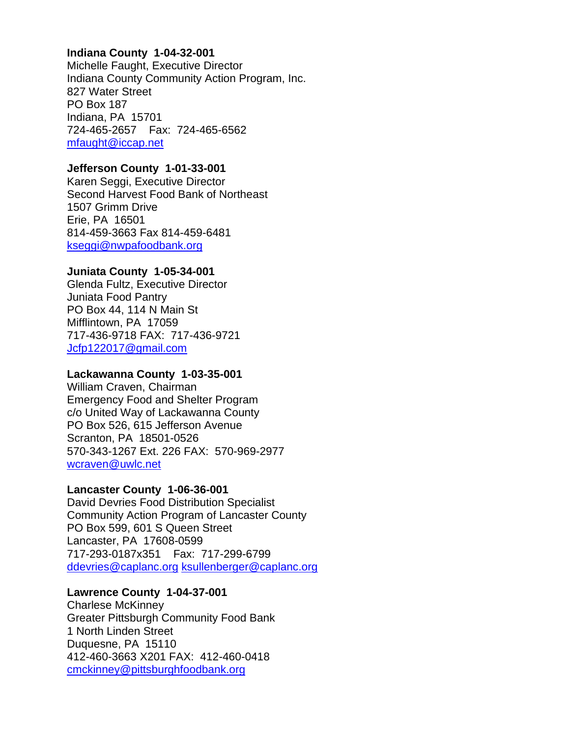# **Indiana County 1-04-32-001**

Michelle Faught, Executive Director Indiana County Community Action Program, Inc. 827 Water Street PO Box 187 Indiana, PA 15701 724-465-2657 Fax: 724-465-6562 [mfaught@iccap.net](mailto:mfaught@iccap.net)

# **Jefferson County 1-01-33-001**

Karen Seggi, Executive Director Second Harvest Food Bank of Northeast 1507 Grimm Drive Erie, PA 16501 814-459-3663 Fax 814-459-6481 [kseggi@nwpafoodbank.org](mailto:kseggi@nwpafoodbank.org)

# **Juniata County 1-05-34-001**

Glenda Fultz, Executive Director Juniata Food Pantry PO Box 44, 114 N Main St Mifflintown, PA 17059 717-436-9718 FAX: 717-436-9721 [Jcfp122017@gmail.com](mailto:Jcfp122017@gmail.com)

# **Lackawanna County 1-03-35-001**

William Craven, Chairman Emergency Food and Shelter Program c/o United Way of Lackawanna County PO Box 526, 615 Jefferson Avenue Scranton, PA 18501-0526 570-343-1267 Ext. 226 FAX: 570-969-2977 [wcraven@uwlc.net](mailto:wcraven@uwlc.net)

# **Lancaster County 1-06-36-001**

David Devries Food Distribution Specialist Community Action Program of Lancaster County PO Box 599, 601 S Queen Street Lancaster, PA 17608-0599 717-293-0187x351 Fax: 717-299-6799 [ddevries@caplanc.org](mailto:ddevries@caplanc.org) [ksullenberger@caplanc.org](mailto:ksullenberger@caplanc.org)

# **Lawrence County 1-04-37-001**

Charlese McKinney Greater Pittsburgh Community Food Bank 1 North Linden Street Duquesne, PA 15110 412-460-3663 X201 FAX: 412-460-0418 [cmckinney@pittsburghfoodbank.org](mailto:cmoore@gpcfb.org)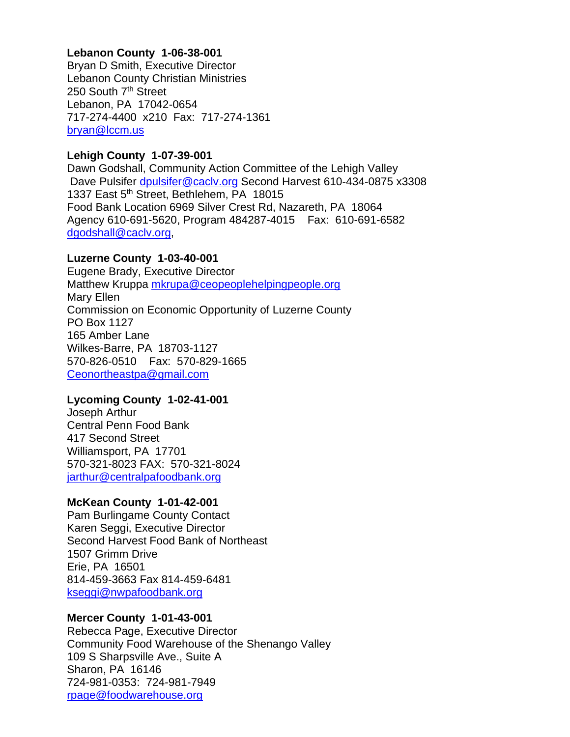# **Lebanon County 1-06-38-001**

Bryan D Smith, Executive Director Lebanon County Christian Ministries 250 South 7<sup>th</sup> Street Lebanon, PA 17042-0654 717-274-4400 x210 Fax: 717-274-1361 [bryan@lccm.us](mailto:lccm@lnf.net)

#### **Lehigh County 1-07-39-001**

Dawn Godshall, Community Action Committee of the Lehigh Valley Dave Pulsifer [dpulsifer@caclv.org](mailto:dpulsifer@caclv.org) Second Harvest 610-434-0875 x3308 1337 East 5<sup>th</sup> Street, Bethlehem, PA 18015 Food Bank Location 6969 Silver Crest Rd, Nazareth, PA 18064 Agency 610-691-5620, Program 484287-4015 Fax: 610-691-6582 [dgodshall@caclv.org,](mailto:dgodshall@caclv.org)

#### **Luzerne County 1-03-40-001**

Eugene Brady, Executive Director Matthew Kruppa [mkrupa@ceopeoplehelpingpeople.org](mailto:mkrupa@ceopeoplehelpingpeople.org) Mary Ellen Commission on Economic Opportunity of Luzerne County PO Box 1127 165 Amber Lane Wilkes-Barre, PA 18703-1127 570-826-0510 Fax: 570-829-1665 [Ceonortheastpa@gmail.com](mailto:Ceonortheastpa@gmail.com)

#### **Lycoming County 1-02-41-001**

Joseph Arthur Central Penn Food Bank 417 Second Street Williamsport, PA 17701 570-321-8023 FAX: 570-321-8024 [jarthur@centralpafoodbank.org](mailto:jarthur@centralpafoodbank.org)

#### **McKean County 1-01-42-001**

Pam Burlingame County Contact Karen Seggi, Executive Director Second Harvest Food Bank of Northeast 1507 Grimm Drive Erie, PA 16501 814-459-3663 Fax 814-459-6481 [kseggi@nwpafoodbank.org](mailto:kseggi@nwpafoodbank.org)

#### **Mercer County 1-01-43-001**

Rebecca Page, Executive Director Community Food Warehouse of the Shenango Valley 109 S Sharpsville Ave., Suite A Sharon, PA 16146 724-981-0353: 724-981-7949 [rpage@foodwarehouse.org](mailto:rpage@foodwarehouse.org)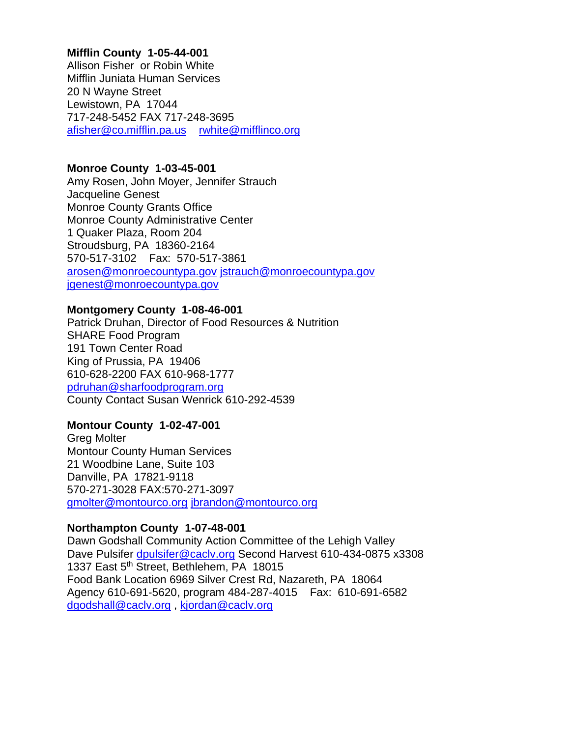# **Mifflin County 1-05-44-001**

Allison Fisher or Robin White Mifflin Juniata Human Services 20 N Wayne Street Lewistown, PA 17044 717-248-5452 FAX 717-248-3695 [afisher@co.mifflin.pa.us](mailto:afisher@co.mifflin.pa.us) [rwhite@mifflinco.org](mailto:rwhite@mifflinco.org)

#### **Monroe County 1-03-45-001**

Amy Rosen, John Moyer, Jennifer Strauch Jacqueline Genest Monroe County Grants Office Monroe County Administrative Center 1 Quaker Plaza, Room 204 Stroudsburg, PA 18360-2164 570-517-3102 Fax: 570-517-3861 [arosen@monroecountypa.gov](mailto:arosen@monroecountypa.gov) [jstrauch@monroecountypa.gov](mailto:jstrauch@monroecountypa.gov) [jgenest@monroecountypa.gov](mailto:jgenest@monroecountypa.gov)

#### **Montgomery County 1-08-46-001**

Patrick Druhan, Director of Food Resources & Nutrition SHARE Food Program 191 Town Center Road King of Prussia, PA 19406 610-628-2200 FAX 610-968-1777 [pdruhan@sharfoodprogram.org](mailto:pdruhan@sharfoodprogram.org) County Contact Susan Wenrick 610-292-4539

# **Montour County 1-02-47-001**

Greg Molter Montour County Human Services 21 Woodbine Lane, Suite 103 Danville, PA 17821-9118 570-271-3028 FAX:570-271-3097 [gmolter@montourco.org](mailto:gmolter@montourco.org) [jbrandon@montourco.org](mailto:jbrandon@montourco.org)

# **Northampton County 1-07-48-001**

Dawn Godshall Community Action Committee of the Lehigh Valley Dave Pulsifer [dpulsifer@caclv.org](mailto:dpulsifer@caclv.org) Second Harvest 610-434-0875 x3308 1337 East 5<sup>th</sup> Street, Bethlehem, PA 18015 Food Bank Location 6969 Silver Crest Rd, Nazareth, PA 18064 Agency 610-691-5620, program 484-287-4015 Fax: 610-691-6582 [dgodshall@caclv.org](mailto:dgodshall@caclv.org) , [kjordan@caclv.org](mailto:kjordan@caclv.org)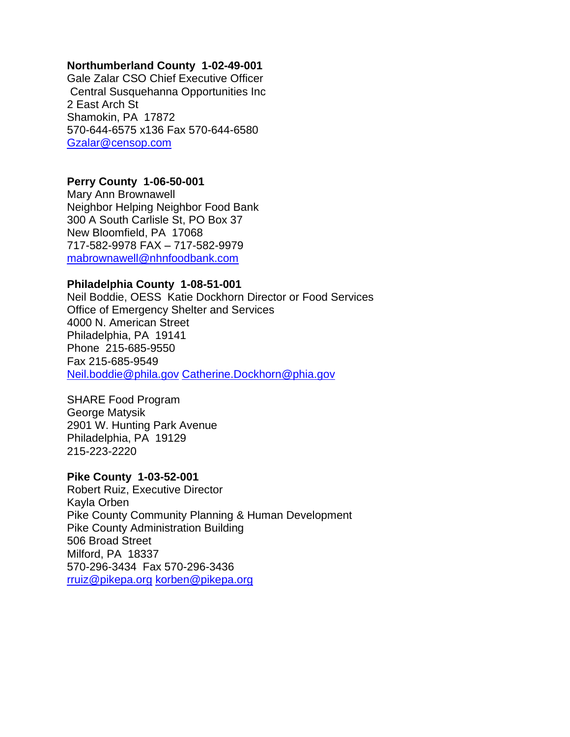#### **Northumberland County 1-02-49-001**

Gale Zalar CSO Chief Executive Officer Central Susquehanna Opportunities Inc 2 East Arch St Shamokin, PA 17872 570-644-6575 x136 Fax 570-644-6580 [Gzalar@censop.com](mailto:Gzalar@censop.com)

#### **Perry County 1-06-50-001**

Mary Ann Brownawell Neighbor Helping Neighbor Food Bank 300 A South Carlisle St, PO Box 37 New Bloomfield, PA 17068 717-582-9978 FAX – 717-582-9979 [mabrownawell@nhnfoodbank.com](mailto:mabrownawell@nhnfoodbank.com)

#### **Philadelphia County 1-08-51-001**

Neil Boddie, OESS Katie Dockhorn Director or Food Services Office of Emergency Shelter and Services 4000 N. American Street Philadelphia, PA 19141 Phone 215-685-9550 Fax 215-685-9549 [Neil.boddie@phila.gov](mailto:Neil.boddie@phila.gov) [Catherine.Dockhorn@phia.gov](mailto:Catherine.Dockhorn@phia.gov)

SHARE Food Program George Matysik 2901 W. Hunting Park Avenue Philadelphia, PA 19129 215-223-2220

# **Pike County 1-03-52-001**

Robert Ruiz, Executive Director Kayla Orben Pike County Community Planning & Human Development Pike County Administration Building 506 Broad Street Milford, PA 18337 570-296-3434 Fax 570-296-3436 [rruiz@pikepa.org](mailto:ckerstetter@pikepa.org) [korben@pikepa.org](mailto:korben@pikepa.org)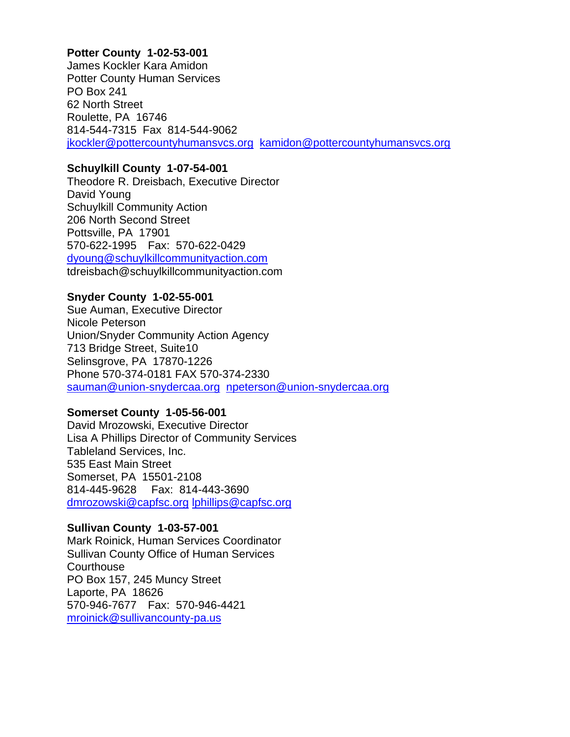# **Potter County 1-02-53-001**

James Kockler Kara Amidon Potter County Human Services PO Box 241 62 North Street Roulette, PA 16746 814-544-7315 Fax 814-544-9062 [jkockler@pottercountyhumansvcs.org](mailto:kjohnson@pottercountyhumansvcs.org) [kamidon@pottercountyhumansvcs.org](mailto:kamidon@pottercountyhumansvcs.org)

#### **Schuylkill County 1-07-54-001**

Theodore R. Dreisbach, Executive Director David Young Schuylkill Community Action 206 North Second Street Pottsville, PA 17901 570-622-1995 Fax: 570-622-0429 [dyoung@schuylkillcommunityaction.com](mailto:dyoung@schuylkillcommunityaction.com) tdreisbach@schuylkillcommunityaction.com

# **Snyder County 1-02-55-001**

Sue Auman, Executive Director Nicole Peterson Union/Snyder Community Action Agency 713 Bridge Street, Suite10 Selinsgrove, PA 17870-1226 Phone 570-374-0181 FAX 570-374-2330 [sauman@union-snydercaa.org](mailto:sauman@union-snydercaa.org) [npeterson@union-snydercaa.org](mailto:npeterson@union-snydercaa.org)

# **Somerset County 1-05-56-001**

David Mrozowski, Executive Director Lisa A Phillips Director of Community Services Tableland Services, Inc. 535 East Main Street Somerset, PA 15501-2108 814-445-9628 Fax: 814-443-3690 [dmrozowski@capfsc.org](mailto:dmrozowski@capfsc.org) [lphillips@capfsc.org](mailto:lphillips@capfsc.org)

# **Sullivan County 1-03-57-001**

Mark Roinick, Human Services Coordinator Sullivan County Office of Human Services **Courthouse** PO Box 157, 245 Muncy Street Laporte, PA 18626 570-946-7677 Fax: 570-946-4421 [mroinick@sullivancounty-pa.us](mailto:mroinick@sullivancounty-pa.us)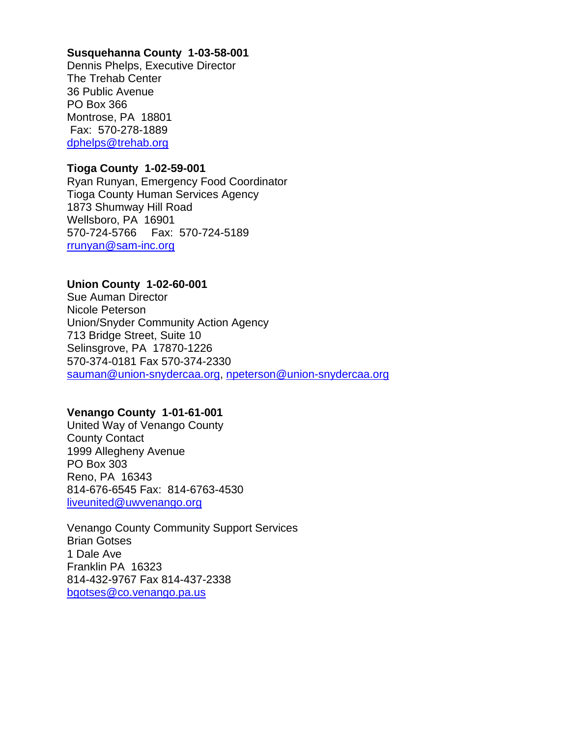# **Susquehanna County 1-03-58-001**

Dennis Phelps, Executive Director The Trehab Center 36 Public Avenue PO Box 366 Montrose, PA 18801 Fax: 570-278-1889 [dphelps@trehab.org](mailto:dphelps@trehab.org)

# **Tioga County 1-02-59-001**

Ryan Runyan, Emergency Food Coordinator Tioga County Human Services Agency 1873 Shumway Hill Road Wellsboro, PA 16901 570-724-5766 Fax: 570-724-5189 [rrunyan@sam-inc.org](mailto:rrunyan@sam-inc.org)

# **Union County 1-02-60-001**

Sue Auman Director Nicole Peterson Union/Snyder Community Action Agency 713 Bridge Street, Suite 10 Selinsgrove, PA 17870-1226 570-374-0181 Fax 570-374-2330 [sauman@union-snydercaa.org,](mailto:sauman@union-snydercaa.org) [npeterson@union-snydercaa.org](mailto:npeterson@union-snydercaa.org)

# **Venango County 1-01-61-001**

United Way of Venango County County Contact 1999 Allegheny Avenue PO Box 303 Reno, PA 16343 814-676-6545 Fax: 814-6763-4530 [liveunited@uwvenango.org](mailto:liveunited@uwvenango.org)

Venango County Community Support Services Brian Gotses 1 Dale Ave Franklin PA 16323 814-432-9767 Fax 814-437-2338 [bgotses@co.venango.pa.us](mailto:bgotses@co.venango.pa.us)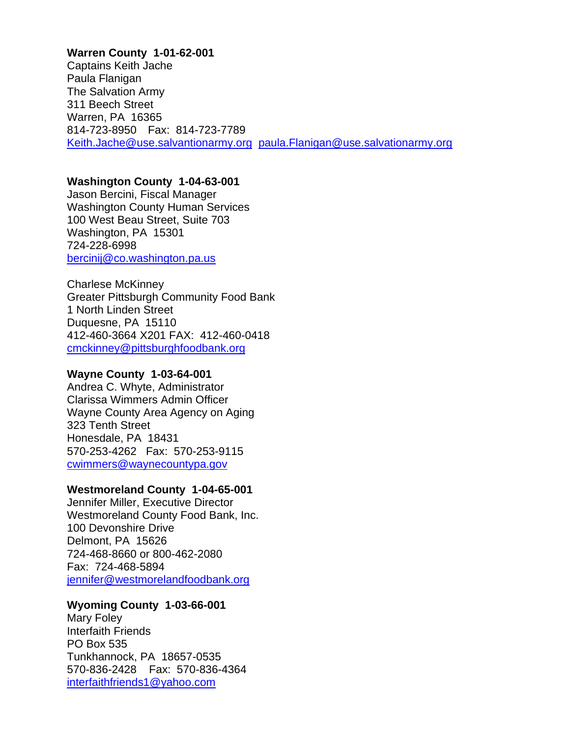#### **Warren County 1-01-62-001**

Captains Keith Jache Paula Flanigan The Salvation Army 311 Beech Street Warren, PA 16365 814-723-8950 Fax: 814-723-7789 [Keith.Jache@use.salvantionarmy.org](mailto:Keith.Jache@use.salvantionarmy.org) [paula.Flanigan@use.salvationarmy.org](mailto:paula.Flanigan@use.salvationarmy.org)

#### **Washington County 1-04-63-001**

Jason Bercini, Fiscal Manager Washington County Human Services 100 West Beau Street, Suite 703 Washington, PA 15301 724-228-6998 [bercinij@co.washington.pa.us](mailto:bercinij@co.washington.pa.us)

Charlese McKinney Greater Pittsburgh Community Food Bank 1 North Linden Street Duquesne, PA 15110 412-460-3664 X201 FAX: 412-460-0418 [cmckinney@pittsburghfoodbank.org](mailto:cmoore@gpcfb.org)

#### **Wayne County 1-03-64-001**

Andrea C. Whyte, Administrator Clarissa Wimmers Admin Officer Wayne County Area Agency on Aging 323 Tenth Street Honesdale, PA 18431 570-253-4262 Fax: 570-253-9115 [cwimmers@waynecountypa.gov](mailto:cwimmers@waynecountypa.gov)

#### **Westmoreland County 1-04-65-001**

Jennifer Miller, Executive Director Westmoreland County Food Bank, Inc. 100 Devonshire Drive Delmont, PA 15626 724-468-8660 or 800-462-2080 Fax: 724-468-5894 [jennifer@westmorelandfoodbank.org](mailto:jennifer@westmorelandfoodbank.org)

# **Wyoming County 1-03-66-001**

Mary Foley Interfaith Friends PO Box 535 Tunkhannock, PA 18657-0535 570-836-2428 Fax: 570-836-4364 [interfaithfriends1@yahoo.com](mailto:interfaith@emcyber.com)